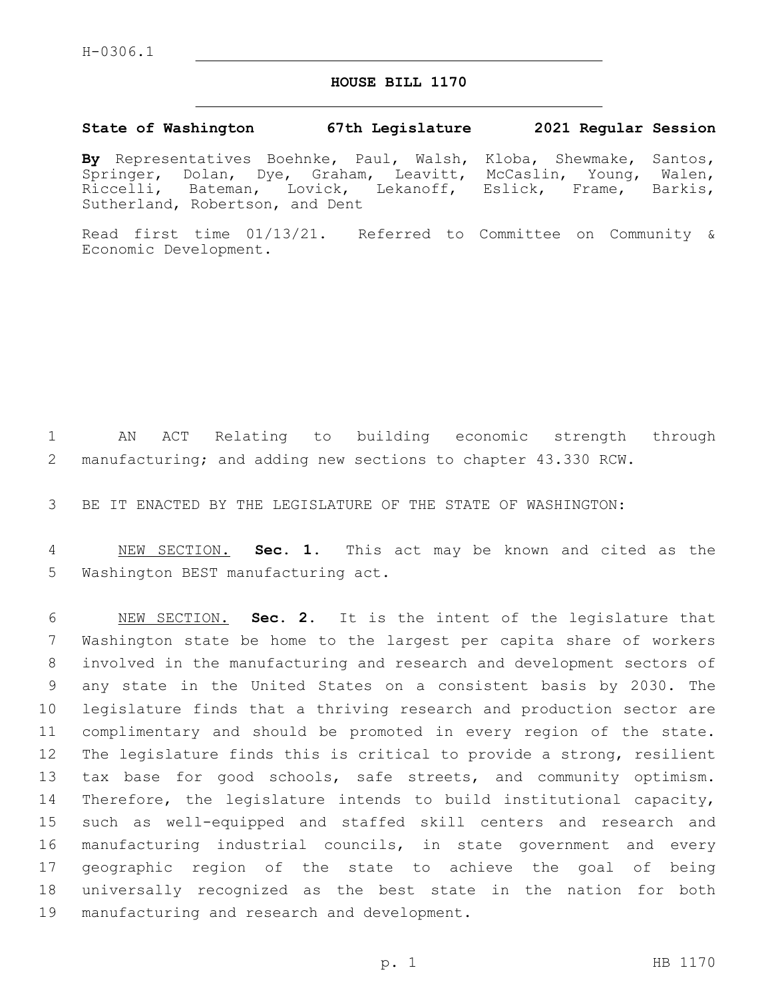## **HOUSE BILL 1170**

## **State of Washington 67th Legislature 2021 Regular Session**

**By** Representatives Boehnke, Paul, Walsh, Kloba, Shewmake, Santos, Springer, Dolan, Dye, Graham, Leavitt, McCaslin, Young, Walen, Riccelli, Bateman, Lovick, Lekanoff, Eslick, Frame, Barkis, Sutherland, Robertson, and Dent

Read first time 01/13/21. Referred to Committee on Community & Economic Development.

 AN ACT Relating to building economic strength through manufacturing; and adding new sections to chapter 43.330 RCW.

BE IT ENACTED BY THE LEGISLATURE OF THE STATE OF WASHINGTON:

 NEW SECTION. **Sec. 1.** This act may be known and cited as the Washington BEST manufacturing act.

 NEW SECTION. **Sec. 2.** It is the intent of the legislature that Washington state be home to the largest per capita share of workers involved in the manufacturing and research and development sectors of any state in the United States on a consistent basis by 2030. The legislature finds that a thriving research and production sector are complimentary and should be promoted in every region of the state. The legislature finds this is critical to provide a strong, resilient tax base for good schools, safe streets, and community optimism. Therefore, the legislature intends to build institutional capacity, such as well-equipped and staffed skill centers and research and manufacturing industrial councils, in state government and every geographic region of the state to achieve the goal of being universally recognized as the best state in the nation for both manufacturing and research and development.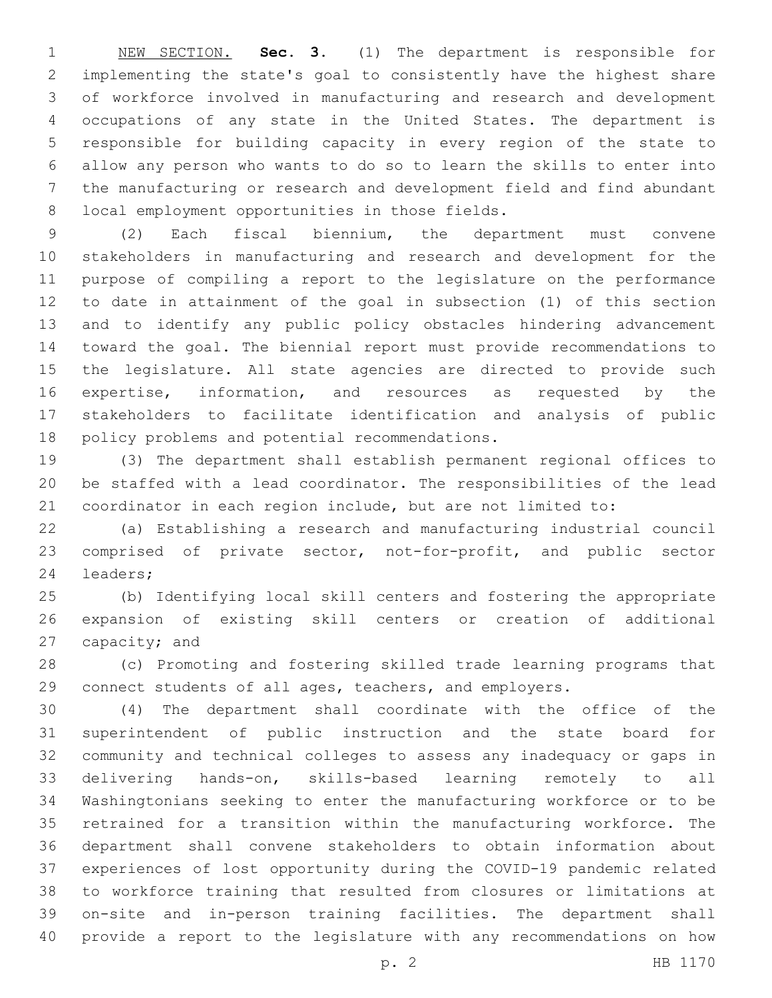NEW SECTION. **Sec. 3.** (1) The department is responsible for implementing the state's goal to consistently have the highest share of workforce involved in manufacturing and research and development occupations of any state in the United States. The department is responsible for building capacity in every region of the state to allow any person who wants to do so to learn the skills to enter into the manufacturing or research and development field and find abundant local employment opportunities in those fields.

 (2) Each fiscal biennium, the department must convene stakeholders in manufacturing and research and development for the purpose of compiling a report to the legislature on the performance to date in attainment of the goal in subsection (1) of this section and to identify any public policy obstacles hindering advancement toward the goal. The biennial report must provide recommendations to the legislature. All state agencies are directed to provide such expertise, information, and resources as requested by the stakeholders to facilitate identification and analysis of public 18 policy problems and potential recommendations.

 (3) The department shall establish permanent regional offices to be staffed with a lead coordinator. The responsibilities of the lead coordinator in each region include, but are not limited to:

 (a) Establishing a research and manufacturing industrial council comprised of private sector, not-for-profit, and public sector 24 leaders;

 (b) Identifying local skill centers and fostering the appropriate expansion of existing skill centers or creation of additional 27 capacity; and

 (c) Promoting and fostering skilled trade learning programs that connect students of all ages, teachers, and employers.

 (4) The department shall coordinate with the office of the superintendent of public instruction and the state board for community and technical colleges to assess any inadequacy or gaps in delivering hands-on, skills-based learning remotely to all Washingtonians seeking to enter the manufacturing workforce or to be retrained for a transition within the manufacturing workforce. The department shall convene stakeholders to obtain information about experiences of lost opportunity during the COVID-19 pandemic related to workforce training that resulted from closures or limitations at on-site and in-person training facilities. The department shall provide a report to the legislature with any recommendations on how

p. 2 HB 1170